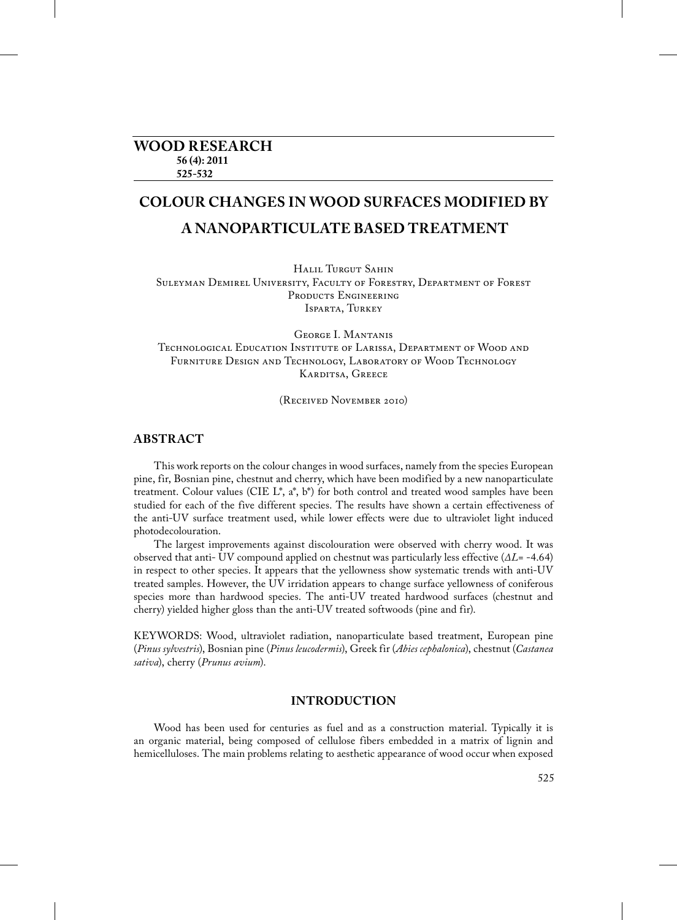# **WOOD RESEARCH 56 (4): 2011 525-532**

# **COLOUR CHANGES IN WOOD SURFACES MODIFIED BY A NANOPARTICULATE BASED TREATMENT**

Halil Turgut Sahin Suleyman Demirel University, Faculty of Forestry, Department of Forest Products Engineering ISPARTA, TURKEY

George I. Mantanis Technological Education Institute of Larissa, Department of Wood and Furniture Design and Technology, Laboratory of Wood Technology Karditsa, Greece

(Received November 2010)

## **ABSTRACT**

This work reports on the colour changes in wood surfaces, namely from the species European pine, fir, Bosnian pine, chestnut and cherry, which have been modified by a new nanoparticulate treatment. Colour values (CIE  $L^*$ ,  $a^*$ ,  $b^*$ ) for both control and treated wood samples have been studied for each of the five different species. The results have shown a certain effectiveness of the anti-UV surface treatment used, while lower effects were due to ultraviolet light induced photodecolouration.

The largest improvements against discolouration were observed with cherry wood. It was observed that anti- UV compound applied on chestnut was particularly less effective (*ΔL*= -4.64) in respect to other species. It appears that the yellowness show systematic trends with anti-UV treated samples. However, the UV irridation appears to change surface yellowness of coniferous species more than hardwood species. The anti-UV treated hardwood surfaces (chestnut and cherry) yielded higher gloss than the anti-UV treated softwoods (pine and fir).

KEYWORDS: Wood, ultraviolet radiation, nanoparticulate based treatment, European pine (*Pinus sylvestris*), Bosnian pine (*Pinus leucodermis*), Greek fir (*Abies cephalonica*), chestnut (*Castanea sativa*), cherry (*Prunus avium*).

## **INTRODUCTION**

Wood has been used for centuries as fuel and as a construction material. Typically it is an organic material, being composed of cellulose fibers embedded in a matrix of lignin and hemicelluloses. The main problems relating to aesthetic appearance of wood occur when exposed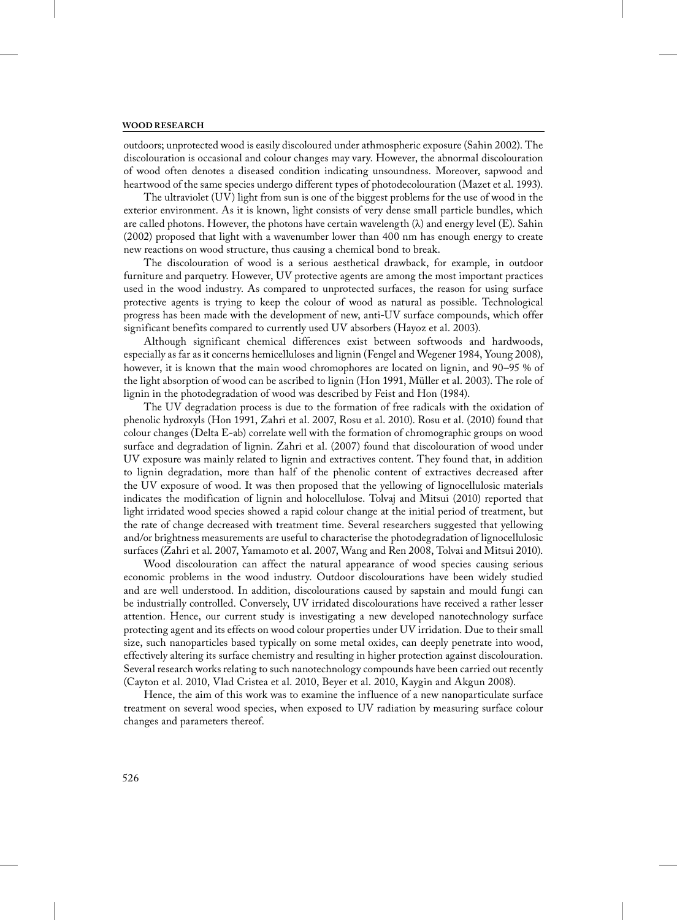outdoors; unprotected wood is easily discoloured under athmospheric exposure (Sahin 2002). The discolouration is occasional and colour changes may vary. However, the abnormal discolouration of wood often denotes a diseased condition indicating unsoundness. Moreover, sapwood and heartwood of the same species undergo different types of photodecolouration (Mazet et al. 1993).

The ultraviolet (UV) light from sun is one of the biggest problems for the use of wood in the exterior environment. As it is known, light consists of very dense small particle bundles, which are called photons. However, the photons have certain wavelength  $(\lambda)$  and energy level (E). Sahin (2002) proposed that light with a wavenumber lower than 400 nm has enough energy to create new reactions on wood structure, thus causing a chemical bond to break.

The discolouration of wood is a serious aesthetical drawback, for example, in outdoor furniture and parquetry. However, UV protective agents are among the most important practices used in the wood industry. As compared to unprotected surfaces, the reason for using surface protective agents is trying to keep the colour of wood as natural as possible. Technological progress has been made with the development of new, anti-UV surface compounds, which offer significant benefits compared to currently used UV absorbers (Hayoz et al. 2003).

Although significant chemical differences exist between softwoods and hardwoods, especially as far as it concerns hemicelluloses and lignin (Fengel and Wegener 1984, Young 2008), however, it is known that the main wood chromophores are located on lignin, and 90–95 % of the light absorption of wood can be ascribed to lignin (Hon 1991, Müller et al. 2003). The role of lignin in the photodegradation of wood was described by Feist and Hon (1984).

The UV degradation process is due to the formation of free radicals with the oxidation of phenolic hydroxyls (Hon 1991, Zahri et al. 2007, Rosu et al. 2010). Rosu et al. (2010) found that colour changes (Delta E-ab) correlate well with the formation of chromographic groups on wood surface and degradation of lignin. Zahri et al. (2007) found that discolouration of wood under UV exposure was mainly related to lignin and extractives content. They found that, in addition to lignin degradation, more than half of the phenolic content of extractives decreased after the UV exposure of wood. It was then proposed that the yellowing of lignocellulosic materials indicates the modification of lignin and holocellulose. Tolvaj and Mitsui (2010) reported that light irridated wood species showed a rapid colour change at the initial period of treatment, but the rate of change decreased with treatment time. Several researchers suggested that yellowing and/or brightness measurements are useful to characterise the photodegradation of lignocellulosic surfaces (Zahri et al. 2007, Yamamoto et al. 2007, Wang and Ren 2008, Tolvai and Mitsui 2010).

Wood discolouration can affect the natural appearance of wood species causing serious economic problems in the wood industry. Outdoor discolourations have been widely studied and are well understood. In addition, discolourations caused by sapstain and mould fungi can be industrially controlled. Conversely, UV irridated discolourations have received a rather lesser attention. Hence, our current study is investigating a new developed nanotechnology surface protecting agent and its effects on wood colour properties under UV irridation. Due to their small size, such nanoparticles based typically on some metal oxides, can deeply penetrate into wood, effectively altering its surface chemistry and resulting in higher protection against discolouration. Several research works relating to such nanotechnology compounds have been carried out recently (Cayton et al. 2010, Vlad Cristea et al. 2010, Beyer et al. 2010, Kaygin and Akgun 2008).

Hence, the aim of this work was to examine the influence of a new nanoparticulate surface treatment on several wood species, when exposed to UV radiation by measuring surface colour changes and parameters thereof.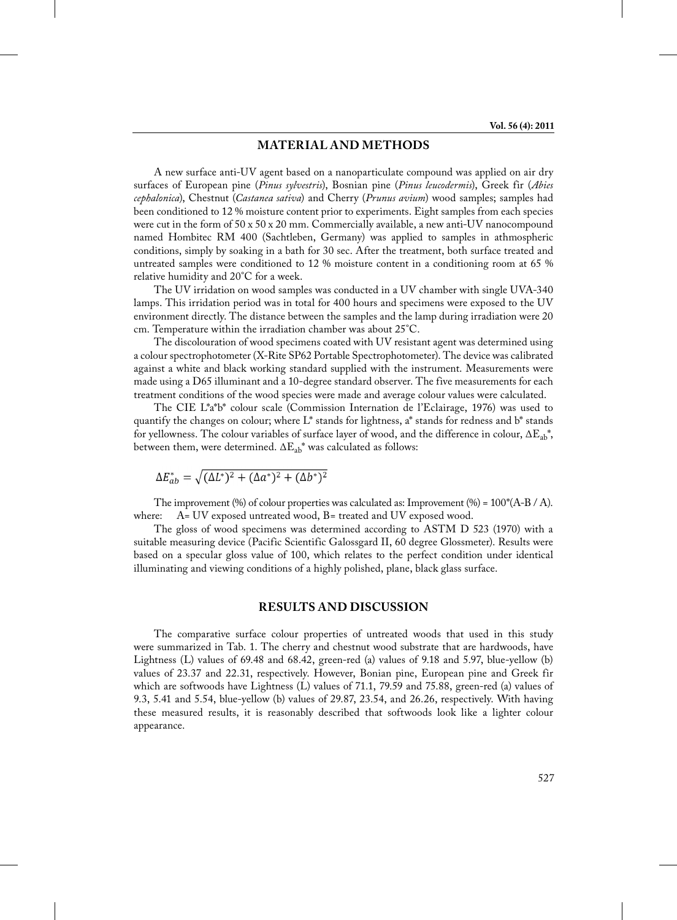# **MATERIAL AND METHODS**

A new surface anti-UV agent based on a nanoparticulate compound was applied on air dry surfaces of European pine (*Pinus sylvestris*), Bosnian pine (*Pinus leucodermis*), Greek fir (*Abies cephalonica*), Chestnut (*Castanea sativa*) and Cherry (*Prunus avium*) wood samples; samples had been conditioned to 12 % moisture content prior to experiments. Eight samples from each species were cut in the form of  $50 \times 50 \times 20$  mm. Commercially available, a new anti-UV nanocompound named Hombitec RM 400 (Sachtleben, Germany) was applied to samples in athmospheric conditions, simply by soaking in a bath for 30 sec. After the treatment, both surface treated and untreated samples were conditioned to 12 % moisture content in a conditioning room at 65 % relative humidity and 20°C for a week.

The UV irridation on wood samples was conducted in a UV chamber with single UVA-340 lamps. This irridation period was in total for 400 hours and specimens were exposed to the UV environment directly. The distance between the samples and the lamp during irradiation were 20 cm. Temperature within the irradiation chamber was about 25°C.

The discolouration of wood specimens coated with UV resistant agent was determined using a colour spectrophotometer (X-Rite SP62 Portable Spectrophotometer). The device was calibrated against a white and black working standard supplied with the instrument. Measurements were made using a D65 illuminant and a 10-degree standard observer. The five measurements for each treatment conditions of the wood species were made and average colour values were calculated.

The CIE L\*a\*b\* colour scale (Commission Internation de l'Eclairage, 1976) was used to quantify the changes on colour; where  $L^*$  stands for lightness,  $a^*$  stands for redness and  $b^*$  stands for yellowness. The colour variables of surface layer of wood, and the difference in colour,  $\Delta E_{ab}^*$ , between them, were determined.  $\Delta E_{ab}^*$  was calculated as follows:

$$
\Delta E_{ab}^* = \sqrt{(\Delta L^*)^2 + (\Delta a^*)^2 + (\Delta b^*)^2}
$$

The improvement (%) of colour properties was calculated as: Improvement (%) =  $100^*(A-B/A)$ .<br>where:  $A=UV$  exposed untreated wood,  $B=$  treated and UV exposed wood. A= UV exposed untreated wood, B= treated and UV exposed wood.

The gloss of wood specimens was determined according to ASTM D 523 (1970) with a suitable measuring device (Pacific Scientific Galossgard II, 60 degree Glossmeter). Results were based on a specular gloss value of 100, which relates to the perfect condition under identical illuminating and viewing conditions of a highly polished, plane, black glass surface.

### **RESULTS AND DISCUSSION**

The comparative surface colour properties of untreated woods that used in this study were summarized in Tab. 1. The cherry and chestnut wood substrate that are hardwoods, have Lightness (L) values of 69.48 and 68.42, green-red (a) values of 9.18 and 5.97, blue-yellow (b) values of 23.37 and 22.31, respectively. However, Bonian pine, European pine and Greek fir which are softwoods have Lightness (L) values of 71.1, 79.59 and 75.88, green-red (a) values of 9.3, 5.41 and 5.54, blue-yellow (b) values of 29.87, 23.54, and 26.26, respectively. With having these measured results, it is reasonably described that softwoods look like a lighter colour appearance.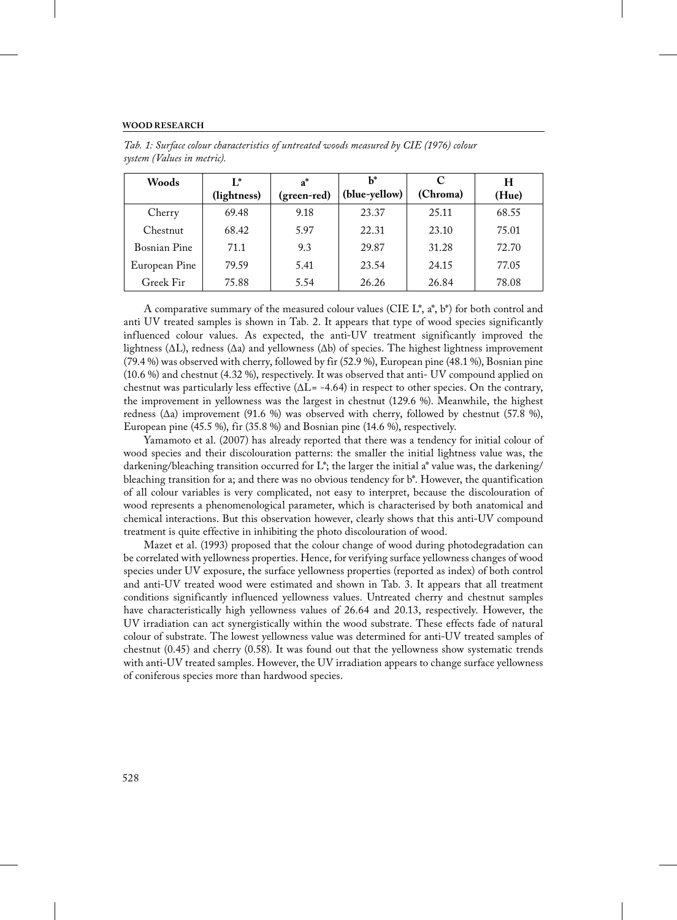| Woods         | $\mathbf{I}^*$<br>(lightness) | $a^*$<br>(green-red) | h*<br>(blue-yellow) | C<br>(Chroma) | н<br>(Hue) |
|---------------|-------------------------------|----------------------|---------------------|---------------|------------|
| Cherry        | 69.48                         | 9.18                 | 23.37               | 25.11         | 68.55      |
| Chestnut      | 68.42                         | 5.97                 | 22.31               | 23.10         | 75.01      |
| Bosnian Pine  | 71.1                          | 9.3                  | 29.87               | 31.28         | 72.70      |
| European Pine | 79.59                         | 5.41                 | 23.54               | 24.15         | 77.05      |
| Greek Fir     | 75.88                         | 5.54                 | 26.26               | 26.84         | 78.08      |

*Tab. 1: Surface colour characteristics of untreated woods measured by CIE (1976) colour system (Values in metric).*

A comparative summary of the measured colour values (CIE  $L^*$ ,  $a^*$ ,  $b^*$ ) for both control and anti UV treated samples is shown in Tab. 2. It appears that type of wood species significantly influenced colour values. As expected, the anti-UV treatment significantly improved the lightness ( $\Delta L$ ), redness ( $\Delta a$ ) and yellowness ( $\Delta b$ ) of species. The highest lightness improvement (79.4 %) was observed with cherry, followed by fir (52.9 %), European pine (48.1 %), Bosnian pine (10.6 %) and chestnut (4.32 %), respectively. It was observed that anti- UV compound applied on chestnut was particularly less effective  $(\Delta L = -4.64)$  in respect to other species. On the contrary, the improvement in yellowness was the largest in chestnut (129.6 %). Meanwhile, the highest redness (Δa) improvement (91.6 %) was observed with cherry, followed by chestnut (57.8 %), European pine (45.5 %), fir (35.8 %) and Bosnian pine (14.6 %), respectively.

Yamamoto et al. (2007) has already reported that there was a tendency for initial colour of wood species and their discolouration patterns: the smaller the initial lightness value was, the darkening/bleaching transition occurred for L\*; the larger the initial a\* value was, the darkening/ bleaching transition for a; and there was no obvious tendency for b\*. However, the quantification of all colour variables is very complicated, not easy to interpret, because the discolouration of wood represents a phenomenological parameter, which is characterised by both anatomical and chemical interactions. But this observation however, clearly shows that this anti-UV compound treatment is quite effective in inhibiting the photo discolouration of wood.

Mazet et al. (1993) proposed that the colour change of wood during photodegradation can be correlated with yellowness properties. Hence, for verifying surface yellowness changes of wood species under UV exposure, the surface yellowness properties (reported as index) of both control and anti-UV treated wood were estimated and shown in Tab. 3. It appears that all treatment conditions significantly influenced yellowness values. Untreated cherry and chestnut samples have characteristically high yellowness values of 26.64 and 20.13, respectively. However, the UV irradiation can act synergistically within the wood substrate. These effects fade of natural colour of substrate. The lowest yellowness value was determined for anti-UV treated samples of chestnut (0.45) and cherry (0.58). It was found out that the yellowness show systematic trends with anti-UV treated samples. However, the UV irradiation appears to change surface yellowness of coniferous species more than hardwood species.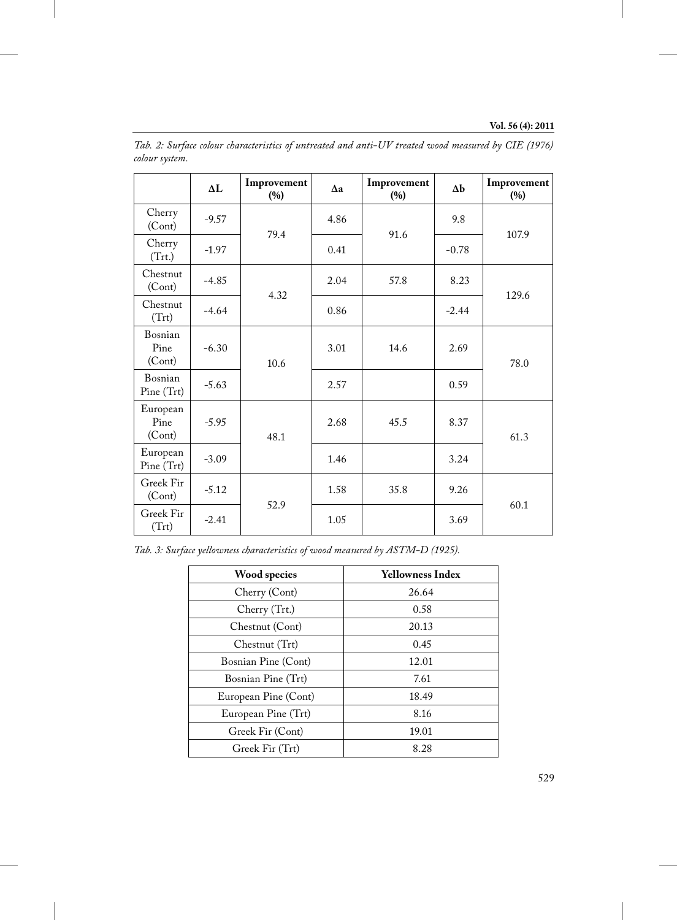|                            | $\Delta L$ | Improvement<br>(%) | $\Delta a$ | Improvement<br>(%) | $\Delta b$ | Improvement<br>(%) |  |
|----------------------------|------------|--------------------|------------|--------------------|------------|--------------------|--|
| Cherry<br>(Cont)           | $-9.57$    | 79.4               | 4.86       | 91.6               | 9.8        | 107.9              |  |
| Cherry<br>(Trt.)           | $-1.97$    |                    | 0.41       |                    | $-0.78$    |                    |  |
| Chestnut<br>(Cont)         | $-4.85$    | 4.32               | 2.04       | 57.8               | 8.23       | 129.6              |  |
| Chestnut<br>(Trt)          | $-4.64$    |                    | 0.86       |                    | $-2.44$    |                    |  |
| Bosnian<br>Pine<br>(Cont)  | $-6.30$    | 10.6               | 3.01       | 14.6               | 2.69       | 78.0               |  |
| Bosnian<br>Pine (Trt)      | $-5.63$    |                    | 2.57       |                    | 0.59       |                    |  |
| European<br>Pine<br>(Cont) | $-5.95$    | 48.1               | 2.68       | 45.5               | 8.37       | 61.3               |  |
| European<br>Pine (Trt)     | $-3.09$    |                    | 1.46       |                    | 3.24       |                    |  |
| Greek Fir<br>(Cont)        | $-5.12$    | 52.9               | 1.58       | 35.8               | 9.26       | 60.1               |  |
| Greek Fir<br>(Trt)         | $-2.41$    |                    | 1.05       |                    | 3.69       |                    |  |

*Tab. 2: Surface colour characteristics of untreated and anti-UV treated wood measured by CIE (1976) colour system.*

| Tab. 3: Surface yellowness characteristics of wood measured by ASTM-D (1925). |  |  |  |
|-------------------------------------------------------------------------------|--|--|--|
|-------------------------------------------------------------------------------|--|--|--|

| Wood species         | Yellowness Index |  |
|----------------------|------------------|--|
| Cherry (Cont)        | 26.64            |  |
| Cherry (Trt.)        | 0.58             |  |
| Chestnut (Cont)      | 20.13            |  |
| Chestnut (Trt)       | 0.45             |  |
| Bosnian Pine (Cont)  | 12.01            |  |
| Bosnian Pine (Trt)   | 7.61             |  |
| European Pine (Cont) | 18.49            |  |
| European Pine (Trt)  | 8.16             |  |
| Greek Fir (Cont)     | 19.01            |  |
| Greek Fir (Trt)      | 8.28             |  |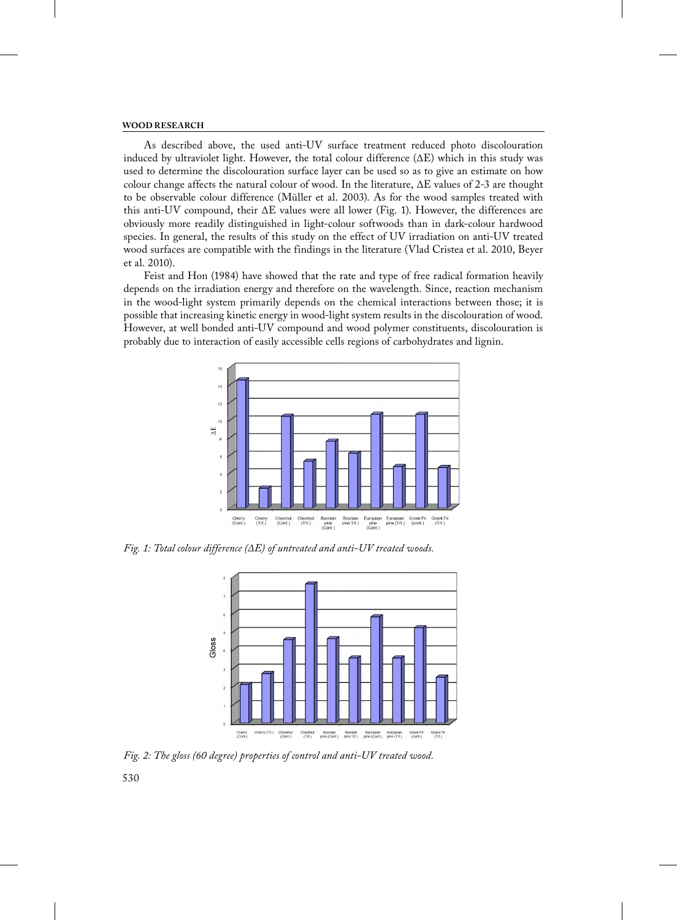As described above, the used anti-UV surface treatment reduced photo discolouration induced by ultraviolet light. However, the total colour difference  $(\Delta E)$  which in this study was used to determine the discolouration surface layer can be used so as to give an estimate on how colour change affects the natural colour of wood. In the literature, ΔE values of 2-3 are thought to be observable colour difference (Müller et al. 2003). As for the wood samples treated with this anti-UV compound, their ΔE values were all lower (Fig. 1). However, the differences are obviously more readily distinguished in light-colour softwoods than in dark-colour hardwood species. In general, the results of this study on the effect of UV irradiation on anti-UV treated wood surfaces are compatible with the findings in the literature (Vlad Cristea et al. 2010, Beyer et al. 2010).

Feist and Hon (1984) have showed that the rate and type of free radical formation heavily depends on the irradiation energy and therefore on the wavelength. Since, reaction mechanism in the wood-light system primarily depends on the chemical interactions between those; it is possible that increasing kinetic energy in wood-light system results in the discolouration of wood. However, at well bonded anti-UV compound and wood polymer constituents, discolouration is probably due to interaction of easily accessible cells regions of carbohydrates and lignin.



*Fig. 1: Total colour difference (ΔE) of untreated and anti-UV treated woods.*



*Fig. 2: The gloss (60 degree) properties of control and anti-UV treated wood.*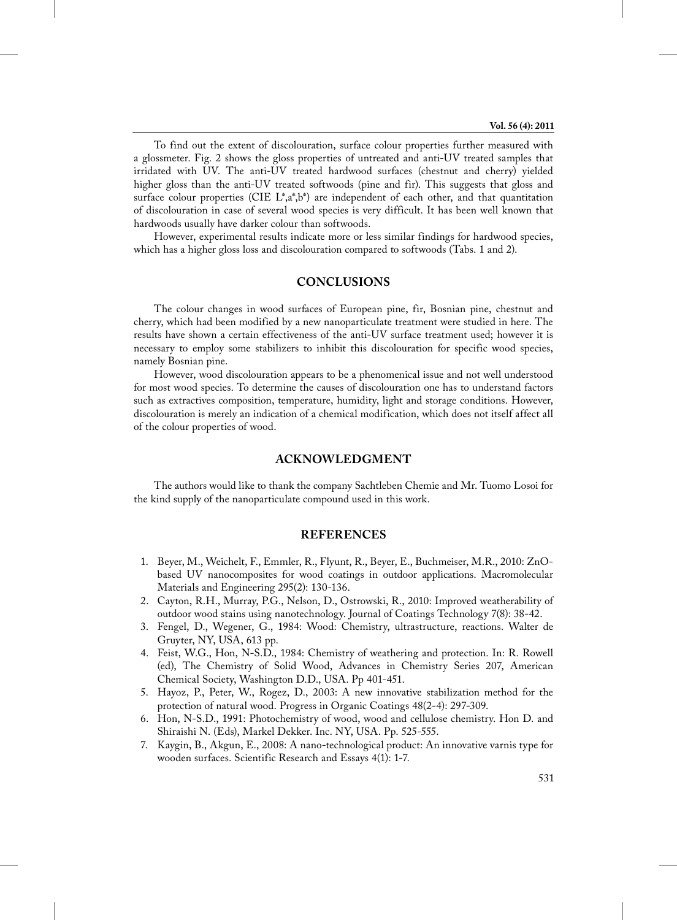To find out the extent of discolouration, surface colour properties further measured with a glossmeter. Fig. 2 shows the gloss properties of untreated and anti-UV treated samples that irridated with UV. The anti-UV treated hardwood surfaces (chestnut and cherry) yielded higher gloss than the anti-UV treated softwoods (pine and fir). This suggests that gloss and surface colour properties (CIE  $L^*,a^*,b^*$ ) are independent of each other, and that quantitation of discolouration in case of several wood species is very difficult. It has been well known that hardwoods usually have darker colour than softwoods.

However, experimental results indicate more or less similar findings for hardwood species, which has a higher gloss loss and discolouration compared to softwoods (Tabs. 1 and 2).

## **CONCLUSIONS**

The colour changes in wood surfaces of European pine, fir, Bosnian pine, chestnut and cherry, which had been modified by a new nanoparticulate treatment were studied in here. The results have shown a certain effectiveness of the anti-UV surface treatment used; however it is necessary to employ some stabilizers to inhibit this discolouration for specific wood species, namely Bosnian pine.

However, wood discolouration appears to be a phenomenical issue and not well understood for most wood species. To determine the causes of discolouration one has to understand factors such as extractives composition, temperature, humidity, light and storage conditions. However, discolouration is merely an indication of a chemical modification, which does not itself affect all of the colour properties of wood.

## **ACKNOWLEDGMENT**

The authors would like to thank the company Sachtleben Chemie and Mr. Tuomo Losoi for the kind supply of the nanoparticulate compound used in this work.

# **REFERENCES**

- 1. Beyer, M., Weichelt, F., Emmler, R., Flyunt, R., Beyer, E., Buchmeiser, M.R., 2010: ZnObased UV nanocomposites for wood coatings in outdoor applications. Macromolecular Materials and Engineering 295(2): 130-136.
- 2. Cayton, R.H., Murray, P.G., Nelson, D., Ostrowski, R., 2010: Improved weatherability of outdoor wood stains using nanotechnology. Journal of Coatings Technology 7(8): 38-42.
- 3. Fengel, D., Wegener, G., 1984: Wood: Chemistry, ultrastructure, reactions. Walter de Gruyter, NY, USA, 613 pp.
- 4. Feist, W.G., Hon, N-S.D., 1984: Chemistry of weathering and protection. In: R. Rowell (ed), The Chemistry of Solid Wood, Advances in Chemistry Series 207, American Chemical Society, Washington D.D., USA. Pp 401-451.
- 5. Hayoz, P., Peter, W., Rogez, D., 2003: A new innovative stabilization method for the protection of natural wood. Progress in Organic Coatings 48(2-4): 297-309.
- 6. Hon, N-S.D., 1991: Photochemistry of wood, wood and cellulose chemistry. Hon D. and Shiraishi N. (Eds), Markel Dekker. Inc. NY, USA. Pp. 525-555.
- 7. Kaygin, B., Akgun, E., 2008: A nano-technological product: An innovative varnis type for wooden surfaces. Scientific Research and Essays 4(1): 1-7.